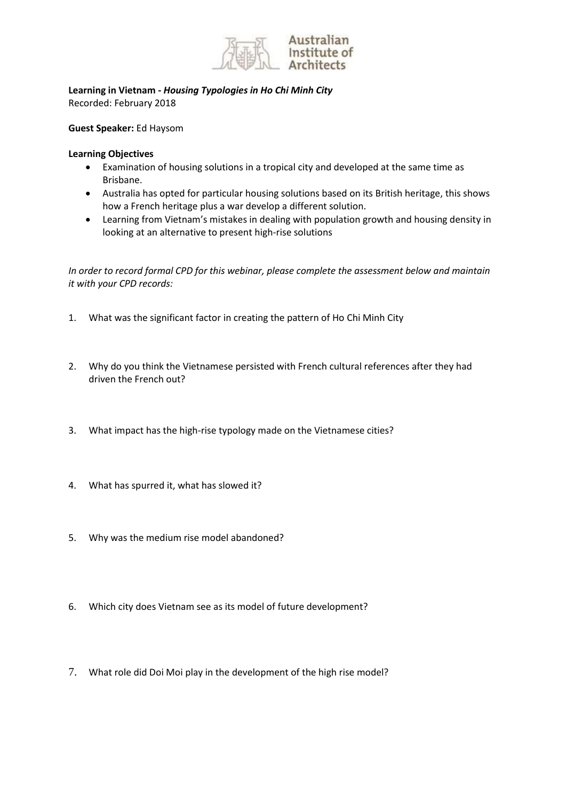

**Learning in Vietnam -** *Housing Typologies in Ho Chi Minh City* Recorded: February 2018

**Guest Speaker:** Ed Haysom

## **Learning Objectives**

- Examination of housing solutions in a tropical city and developed at the same time as Brisbane.
- Australia has opted for particular housing solutions based on its British heritage, this shows how a French heritage plus a war develop a different solution.
- Learning from Vietnam's mistakes in dealing with population growth and housing density in looking at an alternative to present high-rise solutions

*In order to record formal CPD for this webinar, please complete the assessment below and maintain it with your CPD records:*

- 1. What was the significant factor in creating the pattern of Ho Chi Minh City
- 2. Why do you think the Vietnamese persisted with French cultural references after they had driven the French out?
- 3. What impact has the high-rise typology made on the Vietnamese cities?
- 4. What has spurred it, what has slowed it?
- 5. Why was the medium rise model abandoned?
- 6. Which city does Vietnam see as its model of future development?
- 7. What role did Doi Moi play in the development of the high rise model?